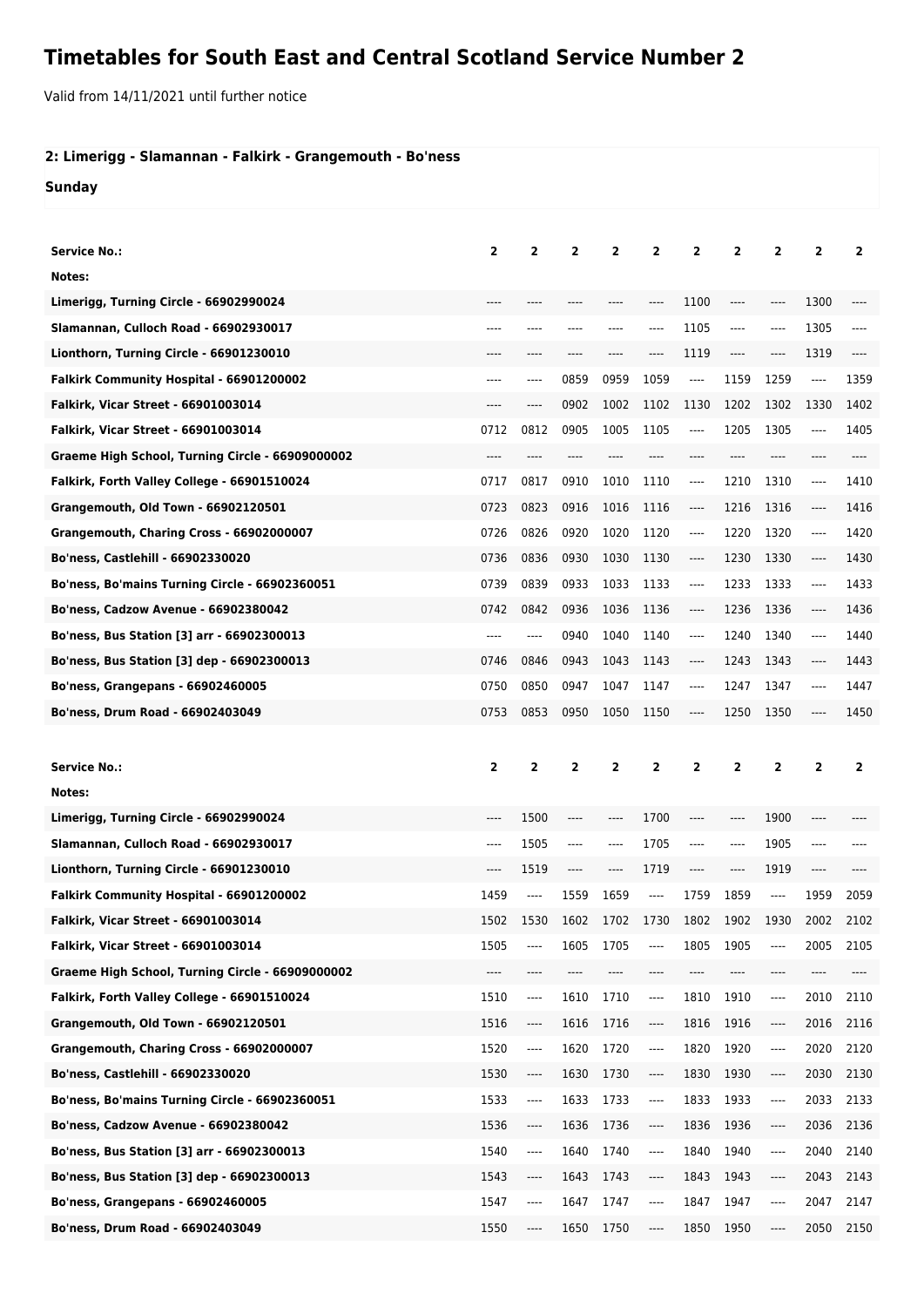## **Timetables for South East and Central Scotland Service Number 2**

Valid from 14/11/2021 until further notice

## **2: Limerigg - Slamannan - Falkirk - Grangemouth - Bo'ness**

**Sunday**

| <b>Service No.:</b>                              | 2     | 2              | $\overline{2}$ | 2              | 2              | $\overline{2}$           | $\overline{2}$                | $\overline{2}$ | $\overline{2}$ | $\overline{2}$ |
|--------------------------------------------------|-------|----------------|----------------|----------------|----------------|--------------------------|-------------------------------|----------------|----------------|----------------|
| Notes:                                           |       |                |                |                |                |                          |                               |                |                |                |
| Limerigg, Turning Circle - 66902990024           | ----  | ----           | ----           | ----           | ----           | 1100                     | $---$                         | ----           | 1300           |                |
| Slamannan, Culloch Road - 66902930017            | ----  | ----           | ----           | ----           | ----           | 1105                     | ----                          | ----           | 1305           | ----           |
| Lionthorn, Turning Circle - 66901230010          | ----  | ----           | ----           | ----           | ----           | 1119                     | $---$                         | ----           | 1319           | ----           |
| Falkirk Community Hospital - 66901200002         | ----  | ----           | 0859           | 0959           | 1059           | $\overline{\phantom{a}}$ | 1159                          | 1259           | ----           | 1359           |
| Falkirk, Vicar Street - 66901003014              | $---$ | $---$          | 0902           | 1002           | 1102           | 1130                     | 1202                          | 1302           | 1330           | 1402           |
| <b>Falkirk, Vicar Street - 66901003014</b>       | 0712  | 0812           | 0905           | 1005           | 1105           | $---$                    | 1205                          | 1305           | $---$          | 1405           |
| Graeme High School, Turning Circle - 66909000002 | $---$ | ----           | ----           |                |                | $---$                    | ----                          | ----           |                | ----           |
| Falkirk, Forth Valley College - 66901510024      | 0717  | 0817           | 0910           | 1010           | 1110           | $---$                    | 1210                          | 1310           | $---$          | 1410           |
| <b>Grangemouth, Old Town - 66902120501</b>       | 0723  | 0823           | 0916           | 1016           | 1116           | $---$                    | 1216                          | 1316           | $\cdots$       | 1416           |
| Grangemouth, Charing Cross - 66902000007         | 0726  | 0826           | 0920           | 1020           | 1120           | $---$                    | 1220                          | 1320           | $---$          | 1420           |
| Bo'ness, Castlehill - 66902330020                | 0736  | 0836           | 0930           | 1030           | 1130           | $---$                    | 1230                          | 1330           | ----           | 1430           |
| Bo'ness, Bo'mains Turning Circle - 66902360051   | 0739  | 0839           | 0933           | 1033           | 1133           | $---$                    | 1233                          | 1333           | ----           | 1433           |
| <b>Bo'ness, Cadzow Avenue - 66902380042</b>      | 0742  | 0842           | 0936           | 1036           | 1136           | $---$                    | 1236                          | 1336           | $---$          | 1436           |
| Bo'ness, Bus Station [3] arr - 66902300013       | $---$ | ----           | 0940           | 1040           | 1140           | $---$                    | 1240                          | 1340           | $\cdots$       | 1440           |
| Bo'ness, Bus Station [3] dep - 66902300013       | 0746  | 0846           | 0943           | 1043           | 1143           | $-----$                  | 1243                          | 1343           | ----           | 1443           |
| <b>Bo'ness, Grangepans - 66902460005</b>         | 0750  | 0850           | 0947           | 1047           | 1147           | $---$                    | 1247                          | 1347           | $---$          | 1447           |
| Bo'ness, Drum Road - 66902403049                 | 0753  | 0853           | 0950           | 1050           | 1150           | ----                     | 1250                          | 1350           |                | 1450           |
|                                                  |       |                |                |                |                |                          |                               |                |                |                |
|                                                  |       |                |                |                |                |                          |                               |                |                |                |
| <b>Service No.:</b>                              | 2     | $\overline{2}$ | $\overline{2}$ | $\overline{2}$ | $\overline{2}$ | $\overline{2}$           | $\overline{2}$                | $\overline{2}$ | $\overline{2}$ | $\overline{2}$ |
| Notes:                                           |       |                |                |                |                |                          |                               |                |                |                |
| Limerigg, Turning Circle - 66902990024           | ----  | 1500           | ----           | ----           | 1700           | $-----$                  | ----                          | 1900           | ----           |                |
| Slamannan, Culloch Road - 66902930017            | ----  | 1505           | $-----$        | ----           | 1705           | ----                     | $---$                         | 1905           | ----           |                |
| Lionthorn, Turning Circle - 66901230010          | ----  | 1519           | $-----$        | ----           | 1719           | $-----$                  | $\hspace{1.5cm} \textbf{---}$ | 1919           | ----           |                |
| Falkirk Community Hospital - 66901200002         | 1459  | ----           | 1559           | 1659           | $\cdots$       | 1759                     | 1859                          | $-----$        | 1959           | 2059           |
| Falkirk, Vicar Street - 66901003014              | 1502  | 1530           | 1602           | 1702           | 1730           | 1802                     | 1902                          | 1930           | 2002           | 2102           |
| Falkirk, Vicar Street - 66901003014              | 1505  | ----           | 1605           | 1705           | ----           | 1805                     | 1905                          | ----           | 2005           | 2105           |
| Graeme High School, Turning Circle - 66909000002 | ----  | ----           | ----           | ----           | ----           | ----                     | ----                          | ----           | ----           | ----           |
| Falkirk, Forth Valley College - 66901510024      | 1510  | ----           | 1610           | 1710           | ----           | 1810                     | 1910                          | ----           | 2010           | 2110           |
| Grangemouth, Old Town - 66902120501              | 1516  | ----           | 1616           | 1716           | ----           | 1816                     | 1916                          | ----           | 2016           | 2116           |
| Grangemouth, Charing Cross - 66902000007         | 1520  | ----           | 1620           | 1720           | ----           | 1820                     | 1920                          | ----           | 2020           | 2120           |
| Bo'ness, Castlehill - 66902330020                | 1530  | ----           | 1630           | 1730           | ----           | 1830                     | 1930                          | ----           | 2030           | 2130           |
| Bo'ness, Bo'mains Turning Circle - 66902360051   | 1533  | ----           | 1633           | 1733           | ----           | 1833                     | 1933                          | ----           | 2033           | 2133           |
| Bo'ness, Cadzow Avenue - 66902380042             | 1536  | ----           | 1636           | 1736           | ----           | 1836                     | 1936                          | ----           | 2036           | 2136           |
| Bo'ness, Bus Station [3] arr - 66902300013       | 1540  | ----           | 1640           | 1740           | ----           | 1840                     | 1940                          | ----           | 2040           | 2140           |
| Bo'ness, Bus Station [3] dep - 66902300013       | 1543  | ----           | 1643           | 1743           | ----           | 1843                     | 1943                          | ----           | 2043           | 2143           |
| <b>Bo'ness, Grangepans - 66902460005</b>         | 1547  | ----           | 1647           | 1747           | ----           | 1847                     | 1947                          | ----           | 2047           | 2147           |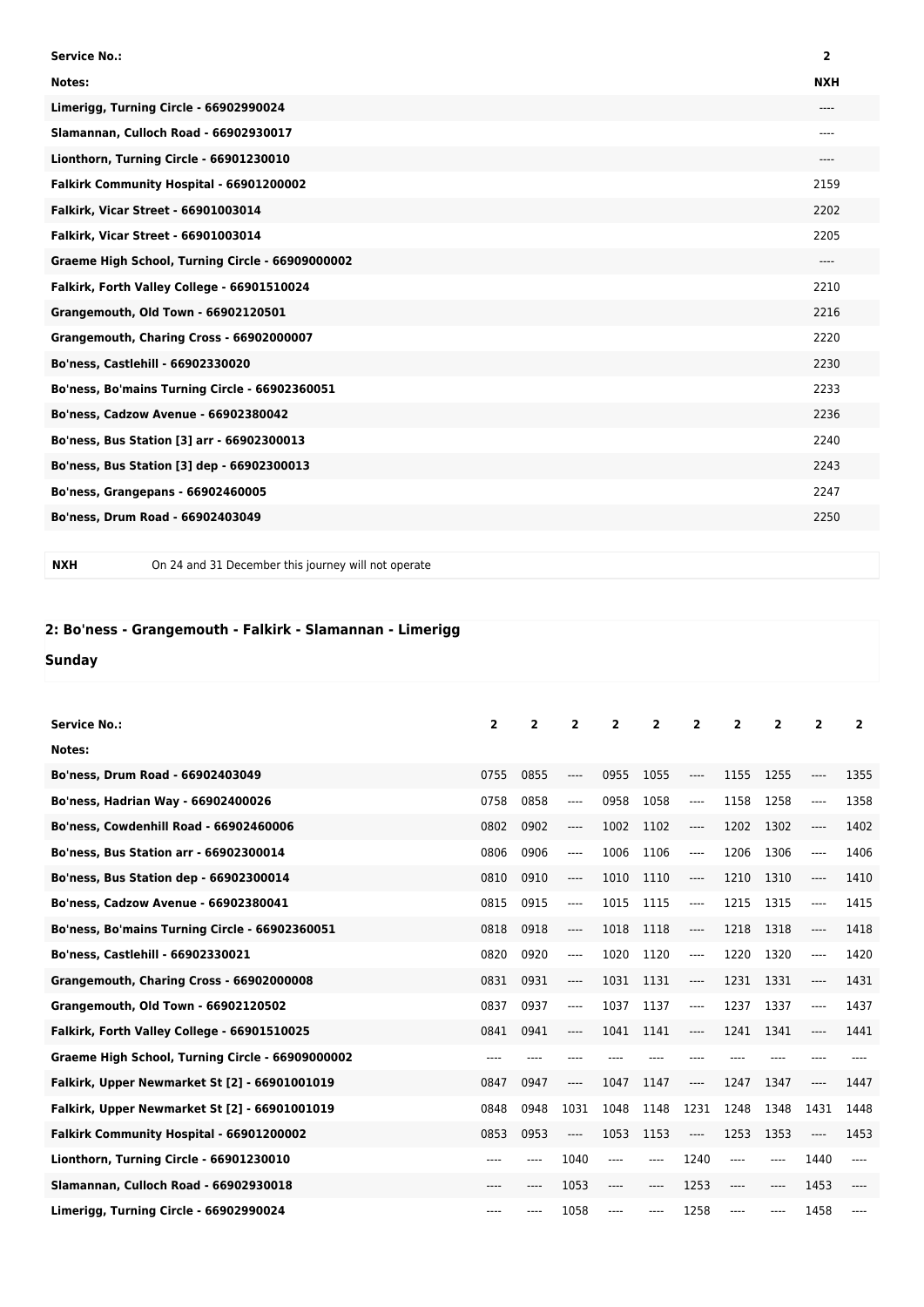| <b>Service No.:</b>                              | $\overline{2}$ |
|--------------------------------------------------|----------------|
| Notes:                                           | <b>NXH</b>     |
| Limerigg, Turning Circle - 66902990024           | ----           |
| Slamannan, Culloch Road - 66902930017            | $---$          |
| Lionthorn, Turning Circle - 66901230010          | $---$          |
| Falkirk Community Hospital - 66901200002         | 2159           |
| Falkirk, Vicar Street - 66901003014              | 2202           |
| Falkirk, Vicar Street - 66901003014              | 2205           |
| Graeme High School, Turning Circle - 66909000002 | $---$          |
| Falkirk, Forth Valley College - 66901510024      | 2210           |
| Grangemouth, Old Town - 66902120501              | 2216           |
| Grangemouth, Charing Cross - 66902000007         | 2220           |
| Bo'ness, Castlehill - 66902330020                | 2230           |
| Bo'ness, Bo'mains Turning Circle - 66902360051   | 2233           |
| Bo'ness, Cadzow Avenue - 66902380042             | 2236           |
| Bo'ness, Bus Station [3] arr - 66902300013       | 2240           |
| Bo'ness, Bus Station [3] dep - 66902300013       | 2243           |
| Bo'ness, Grangepans - 66902460005                | 2247           |
| Bo'ness, Drum Road - 66902403049                 | 2250           |
|                                                  |                |

**NXH** On 24 and 31 December this journey will not operate

## **2: Bo'ness - Grangemouth - Falkirk - Slamannan - Limerigg**

## **Sunday**

| <b>Service No.:</b>                              | $\overline{2}$ | 2    | 2     | 2    | $\overline{2}$ | $\overline{2}$                | $\overline{2}$ | $\overline{2}$ | $\overline{2}$ | $\overline{2}$ |
|--------------------------------------------------|----------------|------|-------|------|----------------|-------------------------------|----------------|----------------|----------------|----------------|
| Notes:                                           |                |      |       |      |                |                               |                |                |                |                |
| Bo'ness, Drum Road - 66902403049                 | 0755           | 0855 | ----  | 0955 | 1055           | ----                          | 1155           | 1255           |                | 1355           |
| Bo'ness, Hadrian Way - 66902400026               | 0758           | 0858 | ----  | 0958 | 1058           | $\cdots$                      | 1158           | 1258           | ----           | 1358           |
| Bo'ness, Cowdenhill Road - 66902460006           | 0802           | 0902 | ----  | 1002 | 1102           | $\hspace{1.5cm} \textbf{---}$ | 1202           | 1302           | $---$          | 1402           |
| Bo'ness, Bus Station arr - 66902300014           | 0806           | 0906 | ----  | 1006 | 1106           | $---$                         | 1206           | 1306           | ----           | 1406           |
| <b>Bo'ness, Bus Station dep - 66902300014</b>    | 0810           | 0910 | ----  | 1010 | 1110           | $---$                         | 1210           | 1310           | ----           | 1410           |
| Bo'ness, Cadzow Avenue - 66902380041             | 0815           | 0915 | ----  | 1015 | 1115           | $---$                         | 1215           | 1315           | $---$          | 1415           |
| Bo'ness, Bo'mains Turning Circle - 66902360051   | 0818           | 0918 | ----  | 1018 | 1118           | $\hspace{1.5cm} \textbf{---}$ | 1218           | 1318           | ----           | 1418           |
| Bo'ness, Castlehill - 66902330021                | 0820           | 0920 | ----  | 1020 | 1120           | ----                          | 1220           | 1320           | ----           | 1420           |
| Grangemouth, Charing Cross - 66902000008         | 0831           | 0931 | ----  | 1031 | 1131           | ----                          | 1231           | 1331           |                | 1431           |
| Grangemouth, Old Town - 66902120502              | 0837           | 0937 | ----  | 1037 | 1137           | $---$                         | 1237           | 1337           |                | 1437           |
| Falkirk, Forth Valley College - 66901510025      | 0841           | 0941 | ----  | 1041 | 1141           | $\hspace{1.5cm} \textbf{---}$ | 1241           | 1341           |                | 1441           |
| Graeme High School, Turning Circle - 66909000002 | ----           | ---- |       |      |                | ----                          |                |                |                |                |
| Falkirk, Upper Newmarket St [2] - 66901001019    | 0847           | 0947 | $---$ | 1047 | 1147           | $---$                         | 1247           | 1347           | ----           | 1447           |
| Falkirk, Upper Newmarket St [2] - 66901001019    | 0848           | 0948 | 1031  | 1048 | 1148           | 1231                          | 1248           | 1348           | 1431           | 1448           |
| Falkirk Community Hospital - 66901200002         | 0853           | 0953 | ----  | 1053 | 1153           | $---$                         | 1253           | 1353           | $---$          | 1453           |
| Lionthorn, Turning Circle - 66901230010          | ----           |      | 1040  | ---- |                | 1240                          | $---$          |                | 1440           |                |
| Slamannan, Culloch Road - 66902930018            | ----           | ---- | 1053  | ---- | ----           | 1253                          | $---$          | $---$          | 1453           |                |
| Limerigg, Turning Circle - 66902990024           | ----           | ---- | 1058  | ---- | ----           | 1258                          | ----           | ----           | 1458           |                |